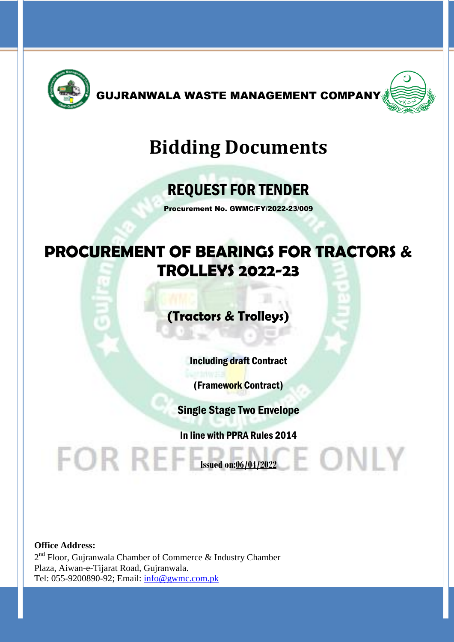

GUJRANWALA WASTE MANAGEMENT COMPANY



# **Bidding Documents**

# REQUEST FOR TENDER

Procurement No. GWMC/FY/2022-23/009

# **PROCUREMENT OF BEARINGS FOR TRACTORS & TROLLEYS 2022-23**

**(Tractors & Trolleys)**

Including draft Contract

(Framework Contract)

Single Stage Two Envelope

In line with PPRA Rules 2014

E ONLY

**Office Address:**  $2<sup>nd</sup>$  Floor, Gujranwala Chamber of Commerce & Industry Chamber Plaza, Aiwan-e-Tijarat Road, Gujranwala. Tel: 055-9200890-92; Email: [info@gwmc.com.pk](mailto:info@gwmc.com.pk)

**Issued on:06/04/2022**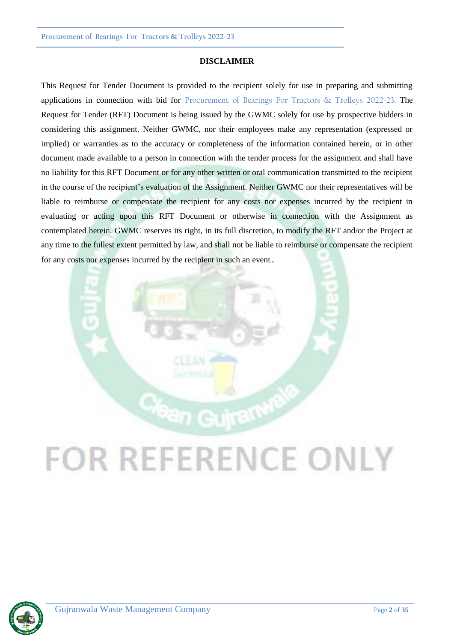#### **DISCLAIMER**

This Request for Tender Document is provided to the recipient solely for use in preparing and submitting applications in connection with bid for Procurement of Bearings For Tractors & Trolleys 2022-23. The Request for Tender (RFT) Document is being issued by the GWMC solely for use by prospective bidders in considering this assignment. Neither GWMC, nor their employees make any representation (expressed or implied) or warranties as to the accuracy or completeness of the information contained herein, or in other document made available to a person in connection with the tender process for the assignment and shall have no liability for this RFT Document or for any other written or oral communication transmitted to the recipient in the course of the recipient's evaluation of the Assignment. Neither GWMC nor their representatives will be liable to reimburse or compensate the recipient for any costs nor expenses incurred by the recipient in evaluating or acting upon this RFT Document or otherwise in connection with the Assignment as contemplated herein. GWMC reserves its right, in its full discretion, to modify the RFT and/or the Project at any time to the fullest extent permitted by law, and shall not be liable to reimburse or compensate the recipient for any costs nor expenses incurred by the recipient in such an event.



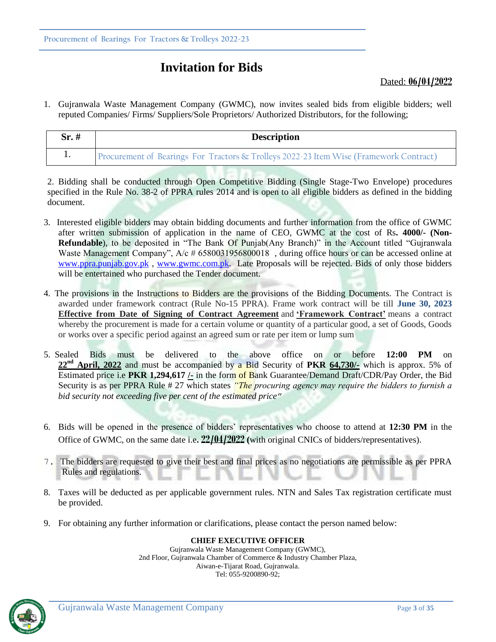# **Invitation for Bids**

#### Dated: **06/04/2022**

1. Gujranwala Waste Management Company (GWMC), now invites sealed bids from eligible bidders; well reputed Companies/ Firms/ Suppliers/Sole Proprietors/ Authorized Distributors, for the following;

| $Sr. \#$ | <b>Description</b>                                                                     |
|----------|----------------------------------------------------------------------------------------|
|          | Procurement of Bearings For Tractors & Trolleys 2022-23 Item Wise (Framework Contract) |

2. Bidding shall be conducted through Open Competitive Bidding (Single Stage-Two Envelope) procedures specified in the Rule No. 38-2 of PPRA rules 2014 and is open to all eligible bidders as defined in the bidding document.

- 3. Interested eligible bidders may obtain bidding documents and further information from the office of GWMC after written submission of application in the name of CEO, GWMC at the cost of Rs**. 4000/- (Non-Refundable**), to be deposited in "The Bank Of Punjab(Any Branch)" in the Account titled "Gujranwala Waste Management Company", A/c # 6580031956800018, during office hours or can be accessed online at [www.ppra.punjab.gov.pk](http://www.ppra.punjab.gov.pk/), [www.gwmc.com.pk.](http://www.gwmc.com.pk/) Late Proposals will be rejected. Bids of only those bidders will be entertained who purchased the Tender document.
- 4. The provisions in the Instructions to Bidders are the provisions of the Bidding Documents. The Contract is awarded under framework contract (Rule No-15 PPRA). Frame work contract will be till **June 30, 2023 Effective from Date of Signing of Contract Agreement** and **'Framework Contract'** means a contract whereby the procurement is made for a certain volume or quantity of a particular good, a set of Goods, Goods or works over a specific period against an agreed sum or rate per item or lump sum
- 5. Sealed Bids must be delivered to the above office on or before **12:00 PM** on 22<sup>nd</sup> **April, 2022** and must be accompanied by a Bid Security of PKR 64,730/- which is approx. 5% of Estimated price i.e **PKR 1,294,617 /-** in the form of Bank Guarantee/Demand Draft/CDR/Pay Order, the Bid Security is as per PPRA Rule # 27 which states *"The procuring agency may require the bidders to furnish a bid security not exceeding five per cent of the estimated price*"
- 6. Bids will be opened in the presence of bidders' representatives who choose to attend at **12:30 PM** in the Office of GWMC, on the same date i.e**. 22/04/2022 (**with original CNICs of bidders/representatives).
- 7. The bidders are requested to give their best and final prices as no negotiations are permissible as per PPRA Rules and regulations.
- 8. Taxes will be deducted as per applicable government rules. NTN and Sales Tax registration certificate must be provided.
- 9. For obtaining any further information or clarifications, please contact the person named below:

#### **CHIEF EXECUTIVE OFFICER**

Gujranwala Waste Management Company (GWMC), 2nd Floor, Gujranwala Chamber of Commerce & Industry Chamber Plaza, Aiwan-e-Tijarat Road, Gujranwala. Tel: 055-9200890-92;

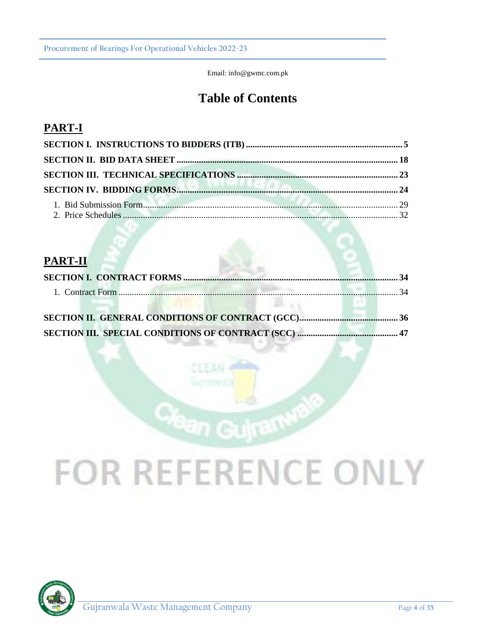Email: info@gwmc.com.pk

# **Table of Contents**

# **PART-I**

# **PART-II**

# **FOR REFERENCE ONLY**

n Gujram

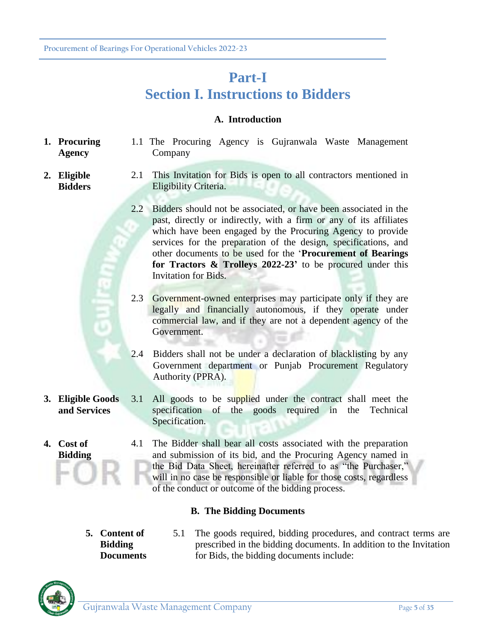# **Part-I Section I. Instructions to Bidders**

### **A. Introduction**

- **1. Procuring Agency** 1.1 The Procuring Agency is Gujranwala Waste Management Company
	- 2.1 This Invitation for Bids is open to all contractors mentioned in Eligibility Criteria.
		- 2.2 Bidders should not be associated, or have been associated in the past, directly or indirectly, with a firm or any of its affiliates which have been engaged by the Procuring Agency to provide services for the preparation of the design, specifications, and other documents to be used for the '**Procurement of Bearings for Tractors & Trolleys 2022-23'** to be procured under this Invitation for Bids.
		- 2.3 Government-owned enterprises may participate only if they are legally and financially autonomous, if they operate under commercial law, and if they are not a dependent agency of the Government.
		- 2.4 Bidders shall not be under a declaration of blacklisting by any Government department or Punjab Procurement Regulatory Authority (PPRA).
- **3. Eligible Goods and Services** 3.1 All goods to be supplied under the contract shall meet the specification of the goods required in the Technical Specification.
	- 4.1 The Bidder shall bear all costs associated with the preparation and submission of its bid, and the Procuring Agency named in the Bid Data Sheet, hereinafter referred to as "the Purchaser," will in no case be responsible or liable for those costs, regardless of the conduct or outcome of the bidding process.

### **B. The Bidding Documents**

- **5. Content of Bidding Documents**
- 5.1 The goods required, bidding procedures, and contract terms are prescribed in the bidding documents. In addition to the Invitation for Bids, the bidding documents include:



**4. Cost of Bidding**

**2. Eligible Bidders**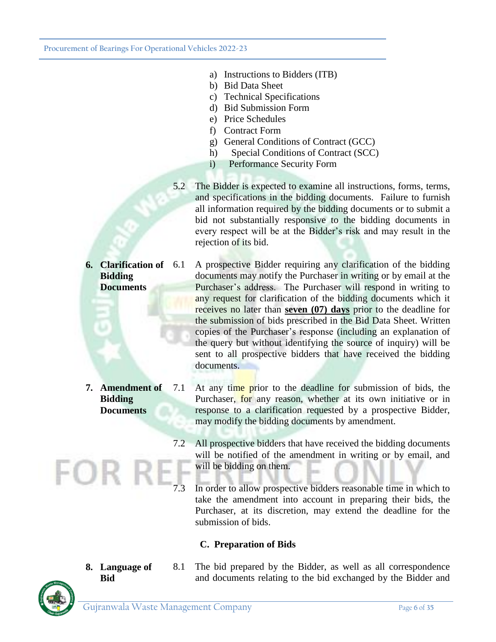**Procurement of Bearings For Operational Vehicles 2022-23**

- a) Instructions to Bidders (ITB)
- b) Bid Data Sheet
- c) Technical Specifications
- d) Bid Submission Form
- e) Price Schedules
- f) Contract Form
- g) General Conditions of Contract (GCC)
- h) Special Conditions of Contract (SCC)
- i) Performance Security Form
- 5.2 The Bidder is expected to examine all instructions, forms, terms, and specifications in the bidding documents. Failure to furnish all information required by the bidding documents or to submit a bid not substantially responsive to the bidding documents in every respect will be at the Bidder's risk and may result in the rejection of its bid.
- **6. Clarification of Bidding Documents** 6.1 A prospective Bidder requiring any clarification of the bidding documents may notify the Purchaser in writing or by email at the Purchaser's address. The Purchaser will respond in writing to any request for clarification of the bidding documents which it receives no later than **seven (07) days** prior to the deadline for the submission of bids prescribed in the Bid Data Sheet. Written copies of the Purchaser's response (including an explanation of the query but without identifying the source of inquiry) will be sent to all prospective bidders that have received the bidding documents.
- **7. Amendment of Bidding Documents** 7.1 At any time prior to the deadline for submission of bids, the Purchaser, for any reason, whether at its own initiative or in response to a clarification requested by a prospective Bidder, may modify the bidding documents by amendment.
	- 7.2 All prospective bidders that have received the bidding documents will be notified of the amendment in writing or by email, and will be bidding on them.
	- In order to allow prospective bidders reasonable time in which to take the amendment into account in preparing their bids, the Purchaser, at its discretion, may extend the deadline for the submission of bids.

### **C. Preparation of Bids**

8.1 The bid prepared by the Bidder, as well as all correspondence and documents relating to the bid exchanged by the Bidder and



**8. Language of Bid**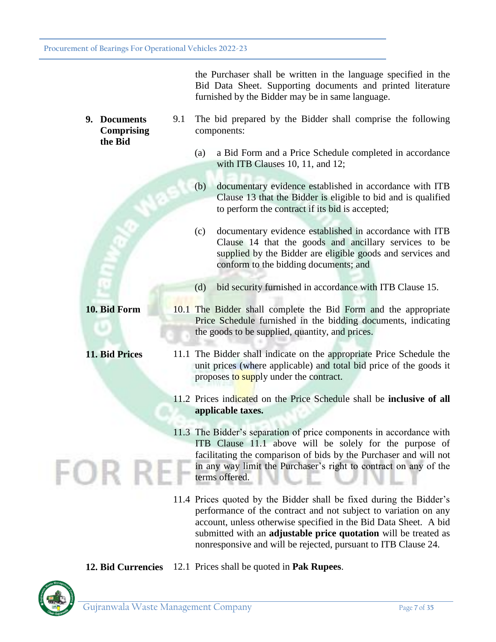the Purchaser shall be written in the language specified in the Bid Data Sheet. Supporting documents and printed literature furnished by the Bidder may be in same language.

- **9. Documents Comprising the Bid** 9.1 The bid prepared by the Bidder shall comprise the following components:
	- (a) a Bid Form and a Price Schedule completed in accordance with ITB Clauses 10, 11, and 12;
	- (b) documentary evidence established in accordance with ITB Clause 13 that the Bidder is eligible to bid and is qualified to perform the contract if its bid is accepted;
	- (c) documentary evidence established in accordance with ITB Clause 14 that the goods and ancillary services to be supplied by the Bidder are eligible goods and services and conform to the bidding documents; and
	- (d) bid security furnished in accordance with ITB Clause 15.
- **10. Bid Form** 10.1 The Bidder shall complete the Bid Form and the appropriate Price Schedule furnished in the bidding documents, indicating the goods to be supplied, quantity, and prices.
- **11. Bid Prices** 11.1 The Bidder shall indicate on the appropriate Price Schedule the unit prices (where applicable) and total bid price of the goods it proposes to supply under the contract.
	- 11.2 Prices indicated on the Price Schedule shall be **inclusive of all applicable taxes.**
	- 11.3 The Bidder's separation of price components in accordance with ITB Clause 11.1 above will be solely for the purpose of facilitating the comparison of bids by the Purchaser and will not in any way limit the Purchaser's right to contract on any of the terms offered.
	- 11.4 Prices quoted by the Bidder shall be fixed during the Bidder's performance of the contract and not subject to variation on any account, unless otherwise specified in the Bid Data Sheet. A bid submitted with an **adjustable price quotation** will be treated as nonresponsive and will be rejected, pursuant to ITB Clause 24.

**12. Bid Currencies** 12.1 Prices shall be quoted in **Pak Rupees**.

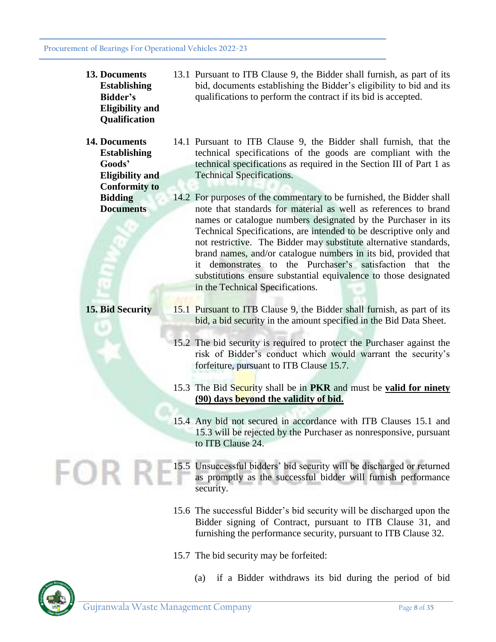| 13. Documents<br><b>Establishing</b><br><b>Bidder's</b><br><b>Eligibility</b> and<br>Qualification | 13.1 Pursuant to ITB Clause 9, the Bidder shall furnish, as part of its<br>bid, documents establishing the Bidder's eligibility to bid and its<br>qualifications to perform the contract if its bid is accepted.                                                                                                                                                                                                                                                                                                                                                                              |
|----------------------------------------------------------------------------------------------------|-----------------------------------------------------------------------------------------------------------------------------------------------------------------------------------------------------------------------------------------------------------------------------------------------------------------------------------------------------------------------------------------------------------------------------------------------------------------------------------------------------------------------------------------------------------------------------------------------|
| 14. Documents<br><b>Establishing</b><br>Goods'<br><b>Eligibility and</b>                           | 14.1 Pursuant to ITB Clause 9, the Bidder shall furnish, that the<br>technical specifications of the goods are compliant with the<br>technical specifications as required in the Section III of Part 1 as<br><b>Technical Specifications.</b>                                                                                                                                                                                                                                                                                                                                                 |
| <b>Conformity to</b><br><b>Bidding</b><br><b>Documents</b>                                         | 14.2 For purposes of the commentary to be furnished, the Bidder shall<br>note that standards for material as well as references to brand<br>names or catalogue numbers designated by the Purchaser in its<br>Technical Specifications, are intended to be descriptive only and<br>not restrictive. The Bidder may substitute alternative standards,<br>brand names, and/or catalogue numbers in its bid, provided that<br>demonstrates to the Purchaser's satisfaction that the<br>it<br>substitutions ensure substantial equivalence to those designated<br>in the Technical Specifications. |
| 15. Bid Security                                                                                   | 15.1 Pursuant to ITB Clause 9, the Bidder shall furnish, as part of its<br>bid, a bid security in the amount specified in the Bid Data Sheet.<br>15.2 The bid security is required to protect the Purchaser against the<br>risk of Bidder's conduct which would warrant the security's<br>forfeiture, pursuant to ITB Clause 15.7.                                                                                                                                                                                                                                                            |
|                                                                                                    | 15.3 The Bid Security shall be in PKR and must be valid for ninety<br>(90) days beyond the validity of bid.<br>15.4 Any bid not secured in accordance with ITB Clauses 15.1 and<br>15.3 will be rejected by the Purchaser as nonresponsive, pursuant<br>to ITB Clause 24.                                                                                                                                                                                                                                                                                                                     |
|                                                                                                    | 15.5 Unsuccessful bidders' bid security will be discharged or returned<br>as promptly as the successful bidder will furnish performance<br>security.                                                                                                                                                                                                                                                                                                                                                                                                                                          |
|                                                                                                    | 15.6 The successful Bidder's bid security will be discharged upon the<br>Bidder signing of Contract, pursuant to ITB Clause 31, and<br>furnishing the performance security, pursuant to ITB Clause 32.                                                                                                                                                                                                                                                                                                                                                                                        |
|                                                                                                    | 15.7 The bid security may be forfeited:                                                                                                                                                                                                                                                                                                                                                                                                                                                                                                                                                       |

(a) if a Bidder withdraws its bid during the period of bid



F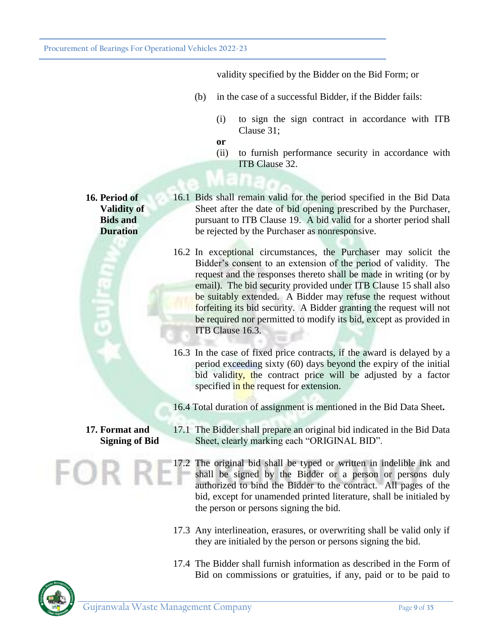validity specified by the Bidder on the Bid Form; or

- (b) in the case of a successful Bidder, if the Bidder fails:
	- (i) to sign the sign contract in accordance with ITB Clause 31;
	- **or**
	- (ii) to furnish performance security in accordance with ITB Clause 32.

- **16. Period of Validity of Bids and Duration**
- 16.1 Bids shall remain valid for the period specified in the Bid Data Sheet after the date of bid opening prescribed by the Purchaser, pursuant to ITB Clause 19. A bid valid for a shorter period shall be rejected by the Purchaser as nonresponsive.
	- 16.2 In exceptional circumstances, the Purchaser may solicit the Bidder's consent to an extension of the period of validity. The request and the responses thereto shall be made in writing (or by email). The bid security provided under ITB Clause 15 shall also be suitably extended. A Bidder may refuse the request without forfeiting its bid security. A Bidder granting the request will not be required nor permitted to modify its bid, except as provided in ITB Clause 16.3.
- 16.3 In the case of fixed price contracts, if the award is delayed by a period exceeding sixty (60) days beyond the expiry of the initial bid validity, the contract price will be adjusted by a factor specified in the request for extension.
- 16.4 Total duration of assignment is mentioned in the Bid Data Sheet**.**

# **17. Format and Signing of Bid**

- 17.1 The Bidder shall prepare an original bid indicated in the Bid Data Sheet, clearly marking each "ORIGINAL BID".
- 17.2 The original bid shall be typed or written in indelible ink and shall be signed by the Bidder or a person or persons duly authorized to bind the Bidder to the contract. All pages of the bid, except for unamended printed literature, shall be initialed by the person or persons signing the bid.
- 17.3 Any interlineation, erasures, or overwriting shall be valid only if they are initialed by the person or persons signing the bid.
- 17.4 The Bidder shall furnish information as described in the Form of Bid on commissions or gratuities, if any, paid or to be paid to

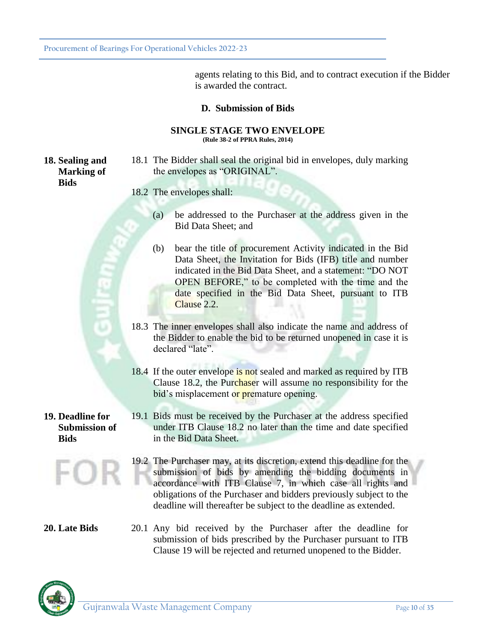agents relating to this Bid, and to contract execution if the Bidder is awarded the contract.

### **D. Submission of Bids**

#### **SINGLE STAGE TWO ENVELOPE (Rule 38-2 of PPRA Rules, 2014)**

**18. Sealing and Marking of Bids**

- 18.1 The Bidder shall seal the original bid in envelopes, duly marking the envelopes as "ORIGINAL".
- 18.2 The envelopes shall:
	- (a) be addressed to the Purchaser at the address given in the Bid Data Sheet; and
	- (b) bear the title of procurement Activity indicated in the Bid Data Sheet, the Invitation for Bids (IFB) title and number indicated in the Bid Data Sheet, and a statement: "DO NOT OPEN BEFORE," to be completed with the time and the date specified in the Bid Data Sheet, pursuant to ITB Clause 2.2.
- 18.3 The inner envelopes shall also indicate the name and address of the Bidder to enable the bid to be returned unopened in case it is declared "late".
- 18.4 If the outer envelope is not sealed and marked as required by ITB Clause 18.2, the Purchaser will assume no responsibility for the bid's misplacement or premature opening.

### **19. Deadline for Submission of Bids**

υ

- 19.1 Bids must be received by the Purchaser at the address specified under ITB Clause 18.2 no later than the time and date specified in the Bid Data Sheet.
- 19.2 The Purchaser may, at its discretion, extend this deadline for the submission of bids by amending the bidding documents in accordance with ITB Clause 7, in which case all rights and obligations of the Purchaser and bidders previously subject to the deadline will thereafter be subject to the deadline as extended.

**20. Late Bids** 20.1 Any bid received by the Purchaser after the deadline for submission of bids prescribed by the Purchaser pursuant to ITB Clause 19 will be rejected and returned unopened to the Bidder.

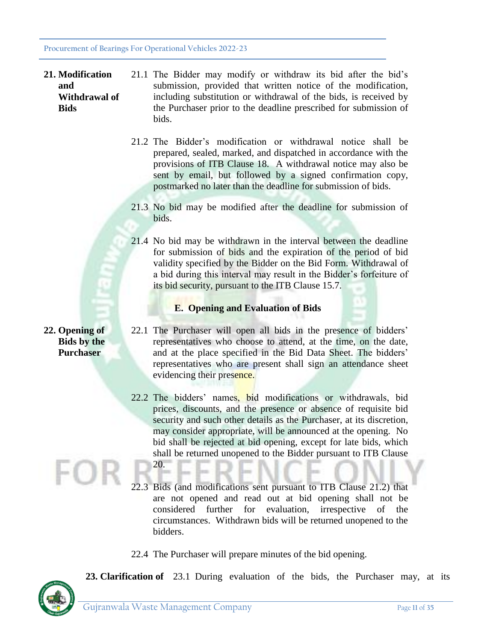- **21. Modification and Withdrawal of Bids** 21.1 The Bidder may modify or withdraw its bid after the bid's submission, provided that written notice of the modification, including substitution or withdrawal of the bids, is received by the Purchaser prior to the deadline prescribed for submission of bids.
	- 21.2 The Bidder's modification or withdrawal notice shall be prepared, sealed, marked, and dispatched in accordance with the provisions of ITB Clause 18. A withdrawal notice may also be sent by email, but followed by a signed confirmation copy, postmarked no later than the deadline for submission of bids.
	- 21.3 No bid may be modified after the deadline for submission of bids.
	- 21.4 No bid may be withdrawn in the interval between the deadline for submission of bids and the expiration of the period of bid validity specified by the Bidder on the Bid Form. Withdrawal of a bid during this interval may result in the Bidder's forfeiture of its bid security, pursuant to the ITB Clause 15.7.

# **E. Opening and Evaluation of Bids**

- **22. Opening of Bids by the**  22.1 The Purchaser will open all bids in the presence of bidders' representatives who choose to attend, at the time, on the date, and at the place specified in the Bid Data Sheet. The bidders' representatives who are present shall sign an attendance sheet evidencing their presence.
	- 22.2 The bidders' names, bid modifications or withdrawals, bid prices, discounts, and the presence or absence of requisite bid security and such other details as the Purchaser, at its discretion, may consider appropriate, will be announced at the opening. No bid shall be rejected at bid opening, except for late bids, which shall be returned unopened to the Bidder pursuant to ITB Clause 20.
	- 22.3 Bids (and modifications sent pursuant to ITB Clause 21.2) that are not opened and read out at bid opening shall not be considered further for evaluation, irrespective of the circumstances. Withdrawn bids will be returned unopened to the bidders.
	- 22.4 The Purchaser will prepare minutes of the bid opening.



**Purchaser**

**23. Clarification of** 23.1 During evaluation of the bids, the Purchaser may, at its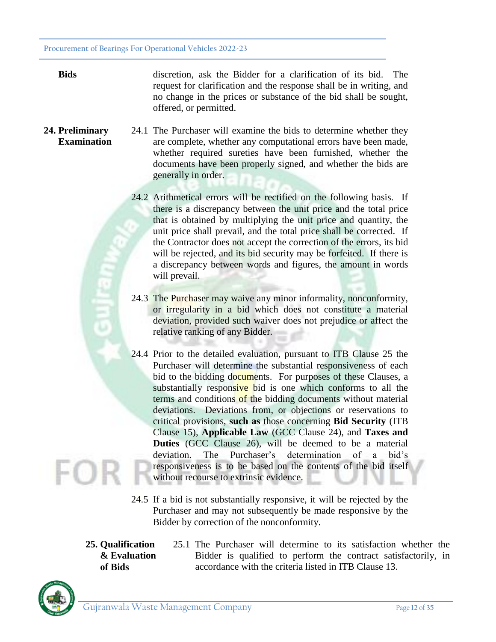**Bids** discretion, ask the Bidder for a clarification of its bid. The request for clarification and the response shall be in writing, and no change in the prices or substance of the bid shall be sought, offered, or permitted.

- **24. Preliminary Examination** 24.1 The Purchaser will examine the bids to determine whether they are complete, whether any computational errors have been made, whether required sureties have been furnished, whether the documents have been properly signed, and whether the bids are generally in order.
	- 24.2 Arithmetical errors will be rectified on the following basis. If there is a discrepancy between the unit price and the total price that is obtained by multiplying the unit price and quantity, the unit price shall prevail, and the total price shall be corrected. If the Contractor does not accept the correction of the errors, its bid will be rejected, and its bid security may be forfeited. If there is a discrepancy between words and figures, the amount in words will prevail.
	- 24.3 The Purchaser may waive any minor informality, nonconformity, or irregularity in a bid which does not constitute a material deviation, provided such waiver does not prejudice or affect the relative ranking of any Bidder.
	- 24.4 Prior to the detailed evaluation, pursuant to ITB Clause 25 the Purchaser will determine the substantial responsiveness of each bid to the bidding documents. For purposes of these Clauses, a substantially responsive bid is one which conforms to all the terms and conditions of the bidding documents without material deviations. Deviations from, or objections or reservations to critical provisions, **such as** those concerning **Bid Security** (ITB Clause 15), **Applicable Law** (GCC Clause 24), and **Taxes and Duties** (GCC Clause 26), will be deemed to be a material deviation. The Purchaser's determination of a bid's responsiveness is to be based on the contents of the bid itself without recourse to extrinsic evidence.
	- 24.5 If a bid is not substantially responsive, it will be rejected by the Purchaser and may not subsequently be made responsive by the Bidder by correction of the nonconformity.
	- **25. Qualification & Evaluation of Bids**
- 25.1 The Purchaser will determine to its satisfaction whether the Bidder is qualified to perform the contract satisfactorily, in accordance with the criteria listed in ITB Clause 13.

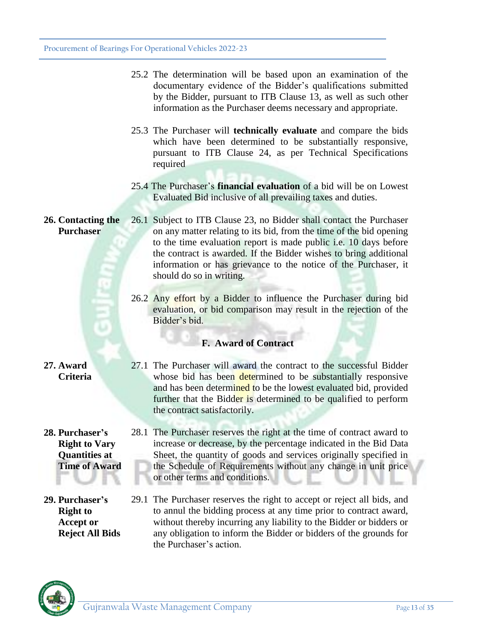- 25.2 The determination will be based upon an examination of the documentary evidence of the Bidder's qualifications submitted by the Bidder, pursuant to ITB Clause 13, as well as such other information as the Purchaser deems necessary and appropriate.
- 25.3 The Purchaser will **technically evaluate** and compare the bids which have been determined to be substantially responsive, pursuant to ITB Clause 24, as per Technical Specifications required
- 25.4 The Purchaser's **financial evaluation** of a bid will be on Lowest Evaluated Bid inclusive of all prevailing taxes and duties.
- **26. Contacting the Purchaser** 26.1 Subject to ITB Clause 23, no Bidder shall contact the Purchaser on any matter relating to its bid, from the time of the bid opening to the time evaluation report is made public i.e. 10 days before the contract is awarded. If the Bidder wishes to bring additional information or has grievance to the notice of the Purchaser, it should do so in writing.
	- 26.2 Any effort by a Bidder to influence the Purchaser during bid evaluation, or bid comparison may result in the rejection of the Bidder's bid.

# **F. Award of Contract**

# **27. Award Criteria**

**28. Purchaser's Right to Vary Quantities at Time of Award**

**29. Purchaser's Right to Accept or Reject All Bids**

- 27.1 The Purchaser will award the contract to the successful Bidder whose bid has been determined to be substantially responsive and has been determined to be the lowest evaluated bid, provided further that the Bidder is determined to be qualified to perform the contract satisfactorily.
- 28.1 The Purchaser reserves the right at the time of contract award to increase or decrease, by the percentage indicated in the Bid Data Sheet, the quantity of goods and services originally specified in the Schedule of Requirements without any change in unit price or other terms and conditions.
- 29.1 The Purchaser reserves the right to accept or reject all bids, and to annul the bidding process at any time prior to contract award, without thereby incurring any liability to the Bidder or bidders or any obligation to inform the Bidder or bidders of the grounds for the Purchaser's action.

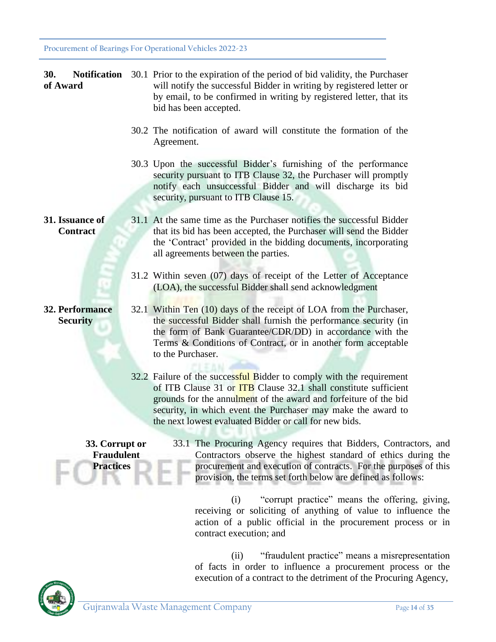| <b>30.</b><br>of Award                                  | <b>Notification</b> 30.1 Prior to the expiration of the period of bid validity, the Purchaser<br>will notify the successful Bidder in writing by registered letter or<br>by email, to be confirmed in writing by registered letter, that its<br>bid has been accepted.                                                                       |
|---------------------------------------------------------|----------------------------------------------------------------------------------------------------------------------------------------------------------------------------------------------------------------------------------------------------------------------------------------------------------------------------------------------|
|                                                         | 30.2 The notification of award will constitute the formation of the<br>Agreement.                                                                                                                                                                                                                                                            |
|                                                         | 30.3 Upon the successful Bidder's furnishing of the performance<br>security pursuant to ITB Clause 32, the Purchaser will promptly<br>notify each unsuccessful Bidder and will discharge its bid<br>security, pursuant to ITB Clause 15.                                                                                                     |
| 31. Issuance of<br><b>Contract</b>                      | 31.1 At the same time as the Purchaser notifies the successful Bidder<br>that its bid has been accepted, the Purchaser will send the Bidder<br>the 'Contract' provided in the bidding documents, incorporating<br>all agreements between the parties.                                                                                        |
|                                                         | 31.2 Within seven (07) days of receipt of the Letter of Acceptance<br>(LOA), the successful Bidder shall send acknowledgment                                                                                                                                                                                                                 |
| 32. Performance<br><b>Security</b>                      | 32.1 Within Ten (10) days of the receipt of LOA from the Purchaser,<br>the successful Bidder shall furnish the performance security (in<br>the form of Bank Guarantee/CDR/DD) in accordance with the<br>Terms & Conditions of Contract, or in another form acceptable<br>to the Purchaser.                                                   |
|                                                         | 32.2 Failure of the successful Bidder to comply with the requirement<br>of ITB Clause 31 or <b>ITB</b> Clause 32.1 shall constitute sufficient<br>grounds for the annulment of the award and forfeiture of the bid<br>security, in which event the Purchaser may make the award to<br>the next lowest evaluated Bidder or call for new bids. |
| 33. Corrupt or<br><b>Fraudulent</b><br><b>Practices</b> | 33.1 The Procuring Agency requires that Bidders, Contractors, and<br>Contractors observe the highest standard of ethics during the<br>procurement and execution of contracts. For the purposes of this<br>provision, the terms set forth below are defined as follows:                                                                       |
|                                                         | "corrupt practice" means the offering, giving,<br>(i)<br>receiving or soliciting of anything of value to influence the<br>action of a public official in the procurement process or in<br>contract execution; and                                                                                                                            |

(ii) "fraudulent practice" means a misrepresentation of facts in order to influence a procurement process or the execution of a contract to the detriment of the Procuring Agency,

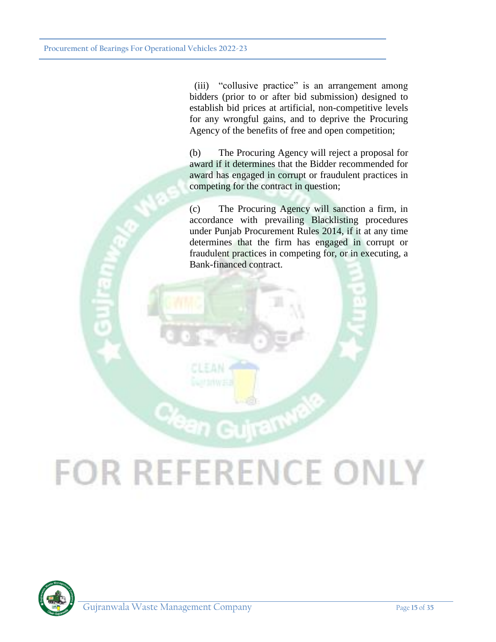(iii) "collusive practice" is an arrangement among bidders (prior to or after bid submission) designed to establish bid prices at artificial, non-competitive levels for any wrongful gains, and to deprive the Procuring Agency of the benefits of free and open competition;

(b) The Procuring Agency will reject a proposal for award if it determines that the Bidder recommended for award has engaged in corrupt or fraudulent practices in competing for the contract in question;

(c) The Procuring Agency will sanction a firm, in accordance with prevailing Blacklisting procedures under Punjab Procurement Rules 2014, if it at any time determines that the firm has engaged in corrupt or fraudulent practices in competing for, or in executing, a Bank-financed contract.

# **FOR REFERENCE ONLY**

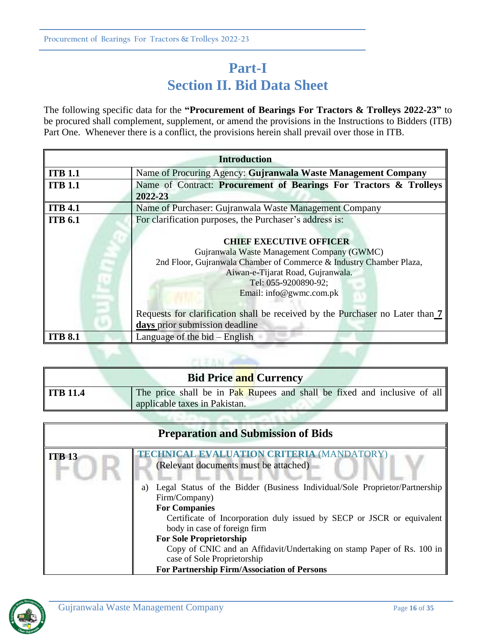# **Part-I Section II. Bid Data Sheet**

The following specific data for the **"Procurement of Bearings For Tractors & Trolleys 2022-23"** to be procured shall complement, supplement, or amend the provisions in the Instructions to Bidders (ITB) Part One. Whenever there is a conflict, the provisions herein shall prevail over those in ITB.

| <b>Introduction</b> |                                                                                                                                                                                                                                             |
|---------------------|---------------------------------------------------------------------------------------------------------------------------------------------------------------------------------------------------------------------------------------------|
| <b>ITB 1.1</b>      | Name of Procuring Agency: Gujranwala Waste Management Company                                                                                                                                                                               |
| <b>ITB 1.1</b>      | Name of Contract: Procurement of Bearings For Tractors & Trolleys                                                                                                                                                                           |
|                     | 2022-23                                                                                                                                                                                                                                     |
| <b>ITB 4.1</b>      | Name of Purchaser: Gujranwala Waste Management Company                                                                                                                                                                                      |
| <b>ITB 6.1</b>      | For clarification purposes, the Purchaser's address is:                                                                                                                                                                                     |
|                     | <b>CHIEF EXECUTIVE OFFICER</b><br>Gujranwala Waste Management Company (GWMC)<br>2nd Floor, Gujranwala Chamber of Commerce & Industry Chamber Plaza,<br>Aiwan-e-Tijarat Road, Gujranwala.<br>Tel: 055-9200890-92;<br>Email: info@gwmc.com.pk |
|                     | Requests for clarification shall be received by the Purchaser no Later than 7                                                                                                                                                               |
|                     | days prior submission deadline                                                                                                                                                                                                              |
| <b>ITB 8.1</b>      | Language of the bid $-$ English                                                                                                                                                                                                             |

| <b>Bid Price and Currency</b> |                                                                                                                       |  |
|-------------------------------|-----------------------------------------------------------------------------------------------------------------------|--|
| ITB 11.4                      | The price shall be in Pak Rupees and shall be fixed and inclusive of all $\parallel$<br>applicable taxes in Pakistan. |  |
|                               |                                                                                                                       |  |

 $F123N$ 

| <b>Preparation and Submission of Bids</b> |                                                                                                                                                                                                                                                                                                                                                                                                                                |  |
|-------------------------------------------|--------------------------------------------------------------------------------------------------------------------------------------------------------------------------------------------------------------------------------------------------------------------------------------------------------------------------------------------------------------------------------------------------------------------------------|--|
| <b>ITB 13</b>                             | <b>TECHNICAL EVALUATION CRITERIA (MANDATORY)</b><br>(Relevant documents must be attached)                                                                                                                                                                                                                                                                                                                                      |  |
|                                           | Legal Status of the Bidder (Business Individual/Sole Proprietor/Partnership<br>a)<br>Firm/Company)<br><b>For Companies</b><br>Certificate of Incorporation duly issued by SECP or JSCR or equivalent<br>body in case of foreign firm<br><b>For Sole Proprietorship</b><br>Copy of CNIC and an Affidavit/Undertaking on stamp Paper of Rs. 100 in<br>case of Sole Proprietorship<br>For Partnership Firm/Association of Persons |  |

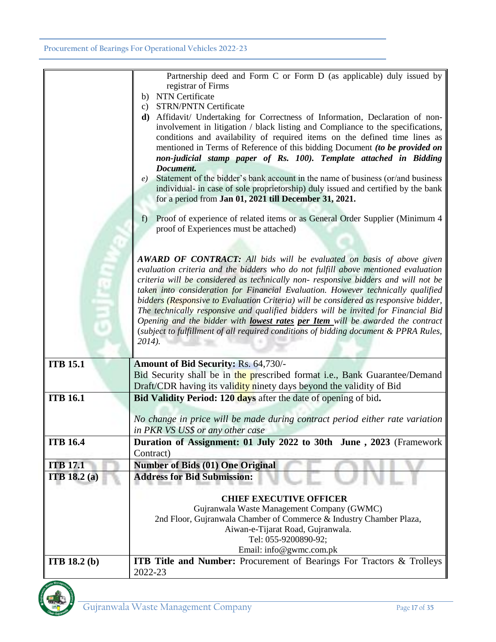|                       | Partnership deed and Form C or Form D (as applicable) duly issued by<br>registrar of Firms<br><b>NTN</b> Certificate<br>b)                                                                                                                                                                                                                                                                                       |
|-----------------------|------------------------------------------------------------------------------------------------------------------------------------------------------------------------------------------------------------------------------------------------------------------------------------------------------------------------------------------------------------------------------------------------------------------|
|                       | c) STRN/PNTN Certificate                                                                                                                                                                                                                                                                                                                                                                                         |
|                       | d) Affidavit/ Undertaking for Correctness of Information, Declaration of non-<br>involvement in litigation / black listing and Compliance to the specifications,<br>conditions and availability of required items on the defined time lines as<br>mentioned in Terms of Reference of this bidding Document (to be provided on<br>non-judicial stamp paper of Rs. 100). Template attached in Bidding<br>Document. |
|                       | e) Statement of the bidder's bank account in the name of business (or/and business<br>individual- in case of sole proprietorship) duly issued and certified by the bank<br>for a period from Jan 01, 2021 till December 31, 2021.                                                                                                                                                                                |
|                       | Proof of experience of related items or as General Order Supplier (Minimum 4<br>$f$ )<br>proof of Experiences must be attached)                                                                                                                                                                                                                                                                                  |
|                       |                                                                                                                                                                                                                                                                                                                                                                                                                  |
|                       | <b>AWARD OF CONTRACT:</b> All bids will be evaluated on basis of above given<br>evaluation criteria and the bidders who do not fulfill above mentioned evaluation<br>criteria will be considered as technically non-responsive bidders and will not be<br>taken into consideration for Financial Evaluation. However technically qualified                                                                       |
|                       | bidders (Responsive to Evaluation Criteria) will be considered as responsive bidder,<br>The technically responsive and qualified bidders will be invited for Financial Bid<br>Opening and the bidder with lowest rates per Item will be awarded the contract<br>(subject to fulfillment of all required conditions of bidding document & PPRA Rules,                                                             |
|                       | $2014$ ).                                                                                                                                                                                                                                                                                                                                                                                                        |
| <b>ITB 15.1</b>       | <b>Amount of Bid Security: Rs. 64,730/-</b>                                                                                                                                                                                                                                                                                                                                                                      |
|                       | Bid Security shall be in the prescribed format i.e., Bank Guarantee/Demand<br>Draft/CDR having its validity ninety days beyond the validity of Bid                                                                                                                                                                                                                                                               |
| <b>ITB 16.1</b>       | Bid Validity Period: 120 days after the date of opening of bid.                                                                                                                                                                                                                                                                                                                                                  |
|                       | No change in price will be made during contract period either rate variation                                                                                                                                                                                                                                                                                                                                     |
|                       | in PKR VS US\$ or any other case                                                                                                                                                                                                                                                                                                                                                                                 |
| <b>ITB 16.4</b>       | Duration of Assignment: 01 July 2022 to 30th June, 2023 (Framework                                                                                                                                                                                                                                                                                                                                               |
| <b>ITB 17.1</b>       | Contract)<br><b>Number of Bids (01) One Original</b>                                                                                                                                                                                                                                                                                                                                                             |
| <b>ITB</b> 18.2 $(a)$ | <b>Address for Bid Submission:</b>                                                                                                                                                                                                                                                                                                                                                                               |
|                       |                                                                                                                                                                                                                                                                                                                                                                                                                  |
|                       | <b>CHIEF EXECUTIVE OFFICER</b><br>Gujranwala Waste Management Company (GWMC)                                                                                                                                                                                                                                                                                                                                     |
|                       | 2nd Floor, Gujranwala Chamber of Commerce & Industry Chamber Plaza,                                                                                                                                                                                                                                                                                                                                              |
|                       | Aiwan-e-Tijarat Road, Gujranwala.                                                                                                                                                                                                                                                                                                                                                                                |
|                       | Tel: 055-9200890-92;                                                                                                                                                                                                                                                                                                                                                                                             |
|                       | Email: info@gwmc.com.pk                                                                                                                                                                                                                                                                                                                                                                                          |
| <b>ITB</b> 18.2 (b)   | <b>ITB Title and Number:</b> Procurement of Bearings For Tractors & Trolleys<br>2022-23                                                                                                                                                                                                                                                                                                                          |

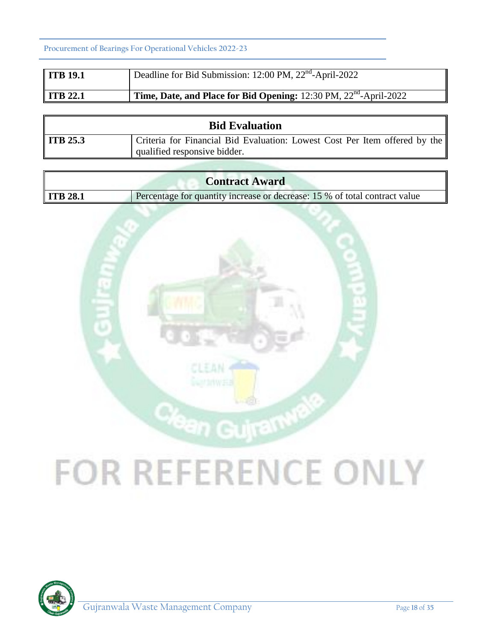**Procurement of Bearings For Operational Vehicles 2022-23**

| ITB 19.1             | Deadline for Bid Submission: 12:00 PM, 22 <sup>nd</sup> -April-2022           |
|----------------------|-------------------------------------------------------------------------------|
| $\parallel$ ITB 22.1 | Time, Date, and Place for Bid Opening: 12:30 PM, 22 <sup>nd</sup> -April-2022 |

|                 | <b>Bid Evaluation</b>                                                      |
|-----------------|----------------------------------------------------------------------------|
| <b>ITB 25.3</b> | Criteria for Financial Bid Evaluation: Lowest Cost Per Item offered by the |
|                 | qualified responsive bidder.                                               |

|                 | <b>Contract Award</b>                                                      |
|-----------------|----------------------------------------------------------------------------|
| <b>ITB 28.1</b> | Percentage for quantity increase or decrease: 15 % of total contract value |



# **FOR REFERENCE ONLY**



 $\overline{r}$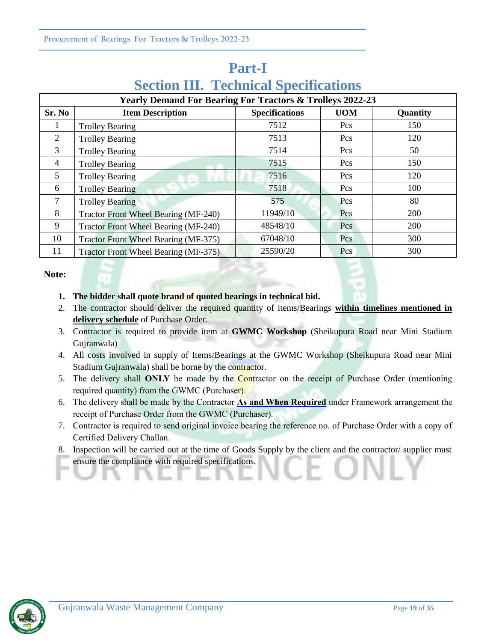# **Part-I**

# **Section III. Technical Specifications**

|              | <b>Yearly Demand For Bearing For Tractors &amp; Trolleys 2022-23</b> |                       |            |          |  |  |  |  |  |
|--------------|----------------------------------------------------------------------|-----------------------|------------|----------|--|--|--|--|--|
| Sr. No       | <b>Item Description</b>                                              | <b>Specifications</b> | <b>UOM</b> | Quantity |  |  |  |  |  |
| $\mathbf{I}$ | <b>Trolley Bearing</b>                                               | 7512                  | Pcs        | 150      |  |  |  |  |  |
| 2            | <b>Trolley Bearing</b>                                               | 7513                  | Pcs        | 120      |  |  |  |  |  |
| 3            | <b>Trolley Bearing</b>                                               | 7514                  | Pcs        | 50       |  |  |  |  |  |
| 4            | <b>Trolley Bearing</b>                                               | 7515                  | Pcs        | 150      |  |  |  |  |  |
| 5            | <b>Trolley Bearing</b>                                               | 7516                  | Pcs        | 120      |  |  |  |  |  |
| 6            | <b>Trolley Bearing</b>                                               | 7518                  | Pcs        | 100      |  |  |  |  |  |
| 7            | <b>Trolley Bearing</b>                                               | 575                   | Pcs        | 80       |  |  |  |  |  |
| 8            | Tractor Front Wheel Bearing (MF-240)                                 | 11949/10              | Pcs        | 200      |  |  |  |  |  |
| 9            | <b>Tractor Front Wheel Bearing (MF-240)</b>                          | 48548/10              | Pcs        | 200      |  |  |  |  |  |
| 10           | Tractor Front Wheel Bearing (MF-375)                                 | 67048/10              | Pcs        | 300      |  |  |  |  |  |
| 11           | Tractor Front Wheel Bearing (MF-375)                                 | 25590/20              | Pcs        | 300      |  |  |  |  |  |

#### **Note:**

### **1. The bidder shall quote brand of quoted bearings in technical bid.**

- 2. The contractor should deliver the required quantity of items/Bearings **within timelines mentioned in delivery schedule** of Purchase Order.
- 3. Contractor is required to provide item at **GWMC Workshop** (Sheikupura Road near Mini Stadium Gujranwala)
- 4. All costs involved in supply of Items/Bearings at the GWMC Workshop (Sheikupura Road near Mini Stadium Gujranwala) shall be borne by the contractor.
- 5. The delivery shall **ONLY** be made by the Contractor on the receipt of Purchase Order (mentioning required quantity) from the GWMC (Purchaser).
- 6. The delivery shall be made by the Contractor **As and When Required** under Framework arrangement the receipt of Purchase Order from the GWMC (Purchaser).
- 7. Contractor is required to send original invoice bearing the reference no. of Purchase Order with a copy of Certified Delivery Challan.
- 8. Inspection will be carried out at the time of Goods Supply by the client and the contractor/ supplier must ensure the compliance with required specifications.

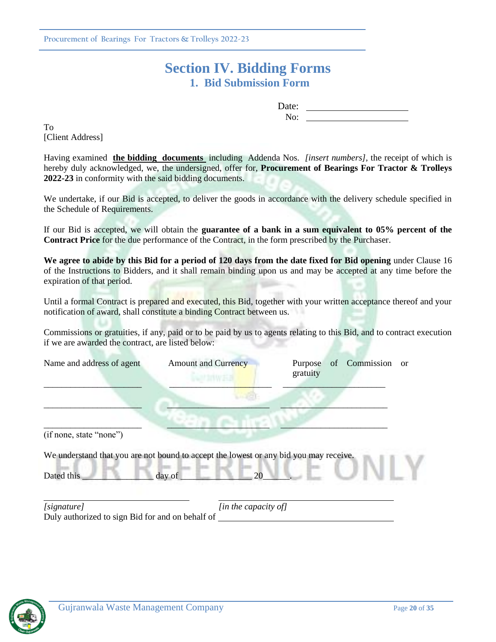# **Section IV. Bidding Forms 1. Bid Submission Form**

Date: No:

To [Client Address]

Having examined **the bidding documents** including Addenda Nos. *[insert numbers],* the receipt of which is hereby duly acknowledged, we, the undersigned, offer for, **Procurement of Bearings For Tractor & Trolleys 2022-23** in conformity with the said bidding documents.

We undertake, if our Bid is accepted, to deliver the goods in accordance with the delivery schedule specified in the Schedule of Requirements.

If our Bid is accepted, we will obtain the **guarantee of a bank in a sum equivalent to 05% percent of the Contract Price** for the due performance of the Contract, in the form prescribed by the Purchaser.

**We agree to abide by this Bid for a period of 120 days from the date fixed for Bid opening** under Clause 16 of the Instructions to Bidders, and it shall remain binding upon us and may be accepted at any time before the expiration of that period.

Until a formal Contract is prepared and executed, this Bid, together with your written acceptance thereof and your notification of award, shall constitute a binding Contract between us.

Commissions or gratuities, if any, paid or to be paid by us to agents relating to this Bid, and to contract execution if we are awarded the contract, are listed below:

| Name and address of agent                                                             | <b>Amount and Currency</b> | Purpose<br>gratuity                     | of Commission | or |
|---------------------------------------------------------------------------------------|----------------------------|-----------------------------------------|---------------|----|
|                                                                                       |                            |                                         |               |    |
| (if none, state "none")                                                               |                            |                                         |               |    |
| We understand that you are not bound to accept the lowest or any bid you may receive. |                            |                                         |               |    |
| Dated this                                                                            | day of                     | 20                                      |               |    |
| [signature]<br>Duly authorized to sign Bid for and on behalf of                       |                            | $\int$ <i>in the capacity of</i> $\int$ |               |    |

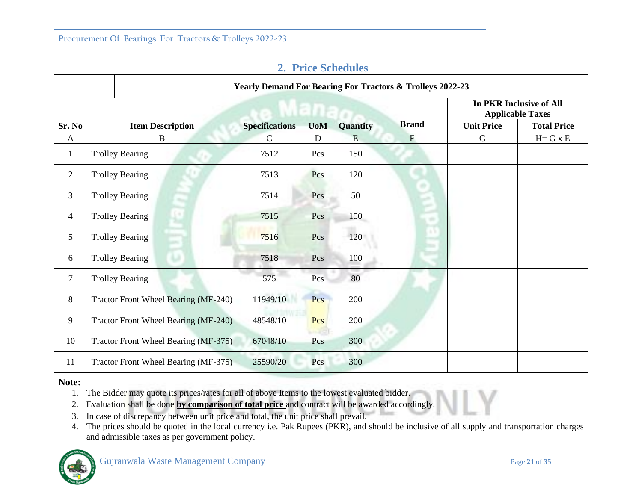|                |                                      | <b>Yearly Demand For Bearing For Tractors &amp; Trolleys 2022-23</b> |             |                 |               |                                                           |                    |  |  |  |
|----------------|--------------------------------------|----------------------------------------------------------------------|-------------|-----------------|---------------|-----------------------------------------------------------|--------------------|--|--|--|
|                |                                      |                                                                      |             |                 |               | <b>In PKR Inclusive of All</b><br><b>Applicable Taxes</b> |                    |  |  |  |
| Sr. No         | <b>Item Description</b>              | <b>Specifications</b>                                                | <b>UoM</b>  | <b>Quantity</b> | <b>Brand</b>  | <b>Unit Price</b>                                         | <b>Total Price</b> |  |  |  |
| $\mathbf{A}$   | B                                    | $\mathcal{C}$                                                        | $\mathbf D$ | E               | $\mathbf{F}$  | G                                                         | $H = G \times E$   |  |  |  |
| 1              | <b>Trolley Bearing</b>               | 7512                                                                 | Pcs         | 150             |               |                                                           |                    |  |  |  |
| $\overline{2}$ | <b>Trolley Bearing</b>               | 7513                                                                 | Pcs         | 120             |               |                                                           |                    |  |  |  |
| 3              | <b>Trolley Bearing</b>               | 7514                                                                 | Pcs         | 50              |               |                                                           |                    |  |  |  |
| $\overline{4}$ | <b>Trolley Bearing</b>               | 7515                                                                 | Pcs         | 150             | $\rightarrow$ |                                                           |                    |  |  |  |
| 5              | <b>Trolley Bearing</b>               | 7516                                                                 | Pcs         | 120             |               |                                                           |                    |  |  |  |
| 6              | <b>Trolley Bearing</b>               | 7518                                                                 | Pcs         | 100             |               |                                                           |                    |  |  |  |
| $\overline{7}$ | <b>Trolley Bearing</b>               | 575                                                                  | Pcs         | 80              |               |                                                           |                    |  |  |  |
| 8              | Tractor Front Wheel Bearing (MF-240) | 11949/10                                                             | Pcs         | 200             |               |                                                           |                    |  |  |  |
| 9              | Tractor Front Wheel Bearing (MF-240) | 48548/10                                                             | Pcs         | 200             |               |                                                           |                    |  |  |  |
| 10             | Tractor Front Wheel Bearing (MF-375) | 67048/10                                                             | Pcs         | 300             |               |                                                           |                    |  |  |  |
| 11             | Tractor Front Wheel Bearing (MF-375) | 25590/20                                                             | Pcs         | 300             |               |                                                           |                    |  |  |  |

# **2. Price Schedules**

#### **Note:**

- 1. The Bidder may quote its prices/rates for all of above Items to the lowest evaluated bidder.
- 2. Evaluation shall be done **by comparison of total price** and contract will be awarded accordingly.
- 3. In case of discrepancy between unit price and total, the unit price shall prevail.
- 4. The prices should be quoted in the local currency i.e. Pak Rupees (PKR), and should be inclusive of all supply and transportation charges and admissible taxes as per government policy.

Third:

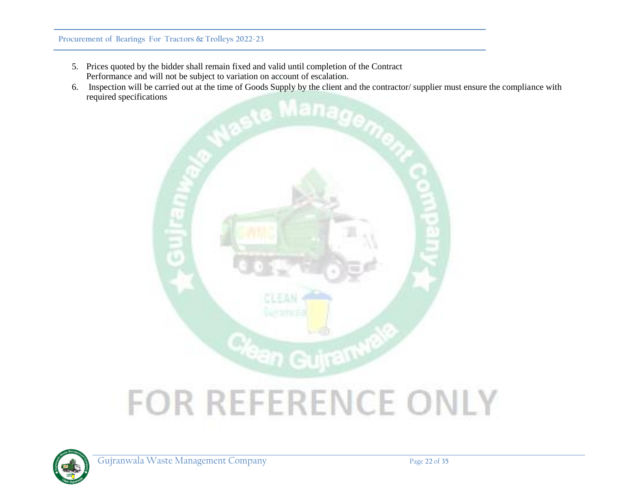- 5. Prices quoted by the bidder shall remain fixed and valid until completion of the Contract Performance and will not be subject to variation on account of escalation.
- 6. Inspection will be carried out at the time of Goods Supply by the client and the contractor/ supplier must ensure the compliance with required specifications



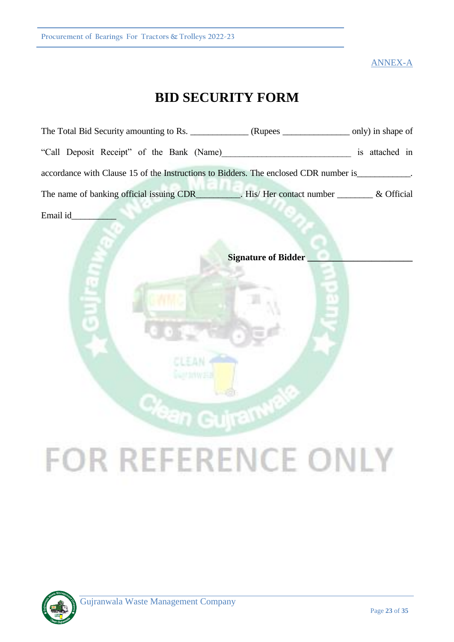ANNEX-A

# **BID SECURITY FORM**

|          | The Total Bid Security amounting to Rs. _______________(Rupees ___________________ only) in shape of |                |
|----------|------------------------------------------------------------------------------------------------------|----------------|
|          | "Call Deposit Receipt" of the Bank (Name)                                                            | is attached in |
|          | accordance with Clause 15 of the Instructions to Bidders. The enclosed CDR number is                 |                |
|          | The name of banking official issuing CDR_________. His/Her contact number _________& Official        |                |
| Email id |                                                                                                      |                |
|          |                                                                                                      |                |

**Signature of Bidder \_\_\_\_\_\_\_\_\_\_\_\_\_\_\_\_\_\_\_\_\_\_\_**

# **FOR REFERENCE ONLY**

**in Gujram<sup>w</sup>** 

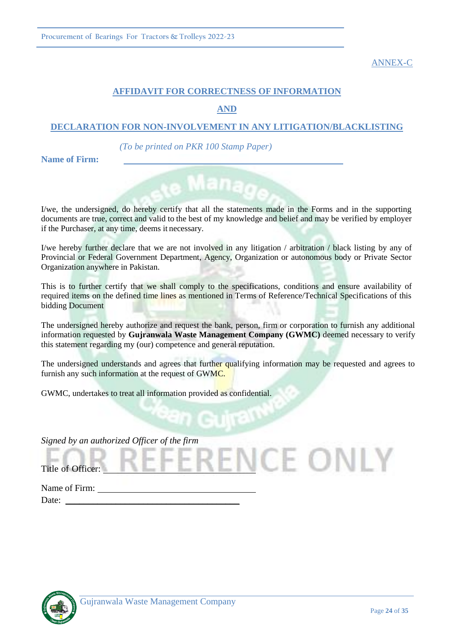ANNEX-C

# **AFFIDAVIT FOR CORRECTNESS OF INFORMATION**

**AND** 

# **DECLARATION FOR NON-INVOLVEMENT IN ANY LITIGATION/BLACKLISTING**

*(To be printed on PKR 100 Stamp Paper)*

**Name of Firm:**

I/we, the undersigned, do hereby certify that all the statements made in the Forms and in the supporting documents are true, correct and valid to the best of my knowledge and belief and may be verified by employer if the Purchaser, at any time, deems it necessary.

I/we hereby further declare that we are not involved in any litigation / arbitration / black listing by any of Provincial or Federal Government Department, Agency, Organization or autonomous body or Private Sector Organization anywhere in Pakistan.

This is to further certify that we shall comply to the specifications, conditions and ensure availability of required items on the defined time lines as mentioned in Terms of Reference/Technical Specifications of this bidding Document

The undersigned hereby authorize and request the bank, person, firm or corporation to furnish any additional information requested by **Gujranwala Waste Management Company (GWMC)** deemed necessary to verify this statement regarding my (our) competence and general reputation.

The undersigned understands and agrees that further qualifying information may be requested and agrees to furnish any such information at the request of GWMC.

GWMC, undertakes to treat all information provided as confidential.

*Signed by an authorized Officer of the firm*

Title of Officer:

Name of Firm: Date:



CE ONLY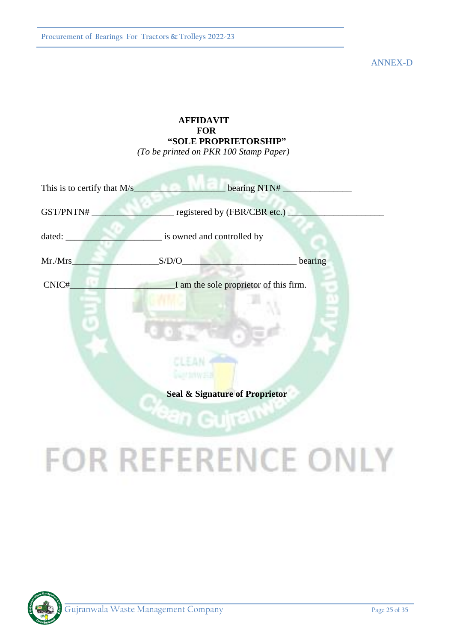ANNEX-D

# **AFFIDAVIT FOR "SOLE PROPRIETORSHIP"** *(To be printed on PKR 100 Stamp Paper)*

|           | This is to certify that M/s bearing NTN# |         |
|-----------|------------------------------------------|---------|
| GST/PNTN# | registered by (FBR/CBR etc.)             |         |
| dated:    | is owned and controlled by               |         |
| Mr./Mrs   | S/D/O                                    | bearing |
| CNIC#     | I am the sole proprietor of this firm.   |         |
|           |                                          |         |
|           |                                          |         |
|           |                                          |         |
|           | Seal & Signature of Proprietor           |         |
|           |                                          |         |

# **FOR REFERENCE ONLY**

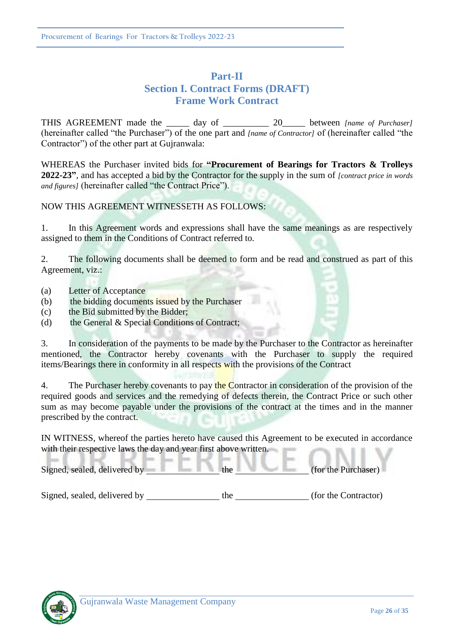# **Part-II Section I. Contract Forms (DRAFT) Frame Work Contract**

THIS AGREEMENT made the day of 20 between *[name of Purchaser]* (hereinafter called "the Purchaser") of the one part and *[name of Contractor]* of (hereinafter called "the Contractor") of the other part at Gujranwala:

WHEREAS the Purchaser invited bids for **"Procurement of Bearings for Tractors & Trolleys 2022-23"**, and has accepted a bid by the Contractor for the supply in the sum of *[contract price in words and figures]* (hereinafter called "the Contract Price").

# NOW THIS AGREEMENT WITNESSETH AS FOLLOWS:

1. In this Agreement words and expressions shall have the same meanings as are respectively assigned to them in the Conditions of Contract referred to.

2. The following documents shall be deemed to form and be read and construed as part of this Agreement, viz.:

- (a) Letter of Acceptance
- (b) the bidding documents issued by the Purchaser
- (c) the Bid submitted by the Bidder;
- (d) the General & Special Conditions of Contract;

3. In consideration of the payments to be made by the Purchaser to the Contractor as hereinafter mentioned, the Contractor hereby covenants with the Purchaser to supply the required items/Bearings there in conformity in all respects with the provisions of the Contract

4. The Purchaser hereby covenants to pay the Contractor in consideration of the provision of the required goods and services and the remedying of defects therein, the Contract Price or such other sum as may become payable under the provisions of the contract at the times and in the manner prescribed by the contract.

IN WITNESS, whereof the parties hereto have caused this Agreement to be executed in accordance with their respective laws the day and year first above written.

Signed, sealed, delivered by the (for the Purchaser)

Signed, sealed, delivered by the (for the Contractor)

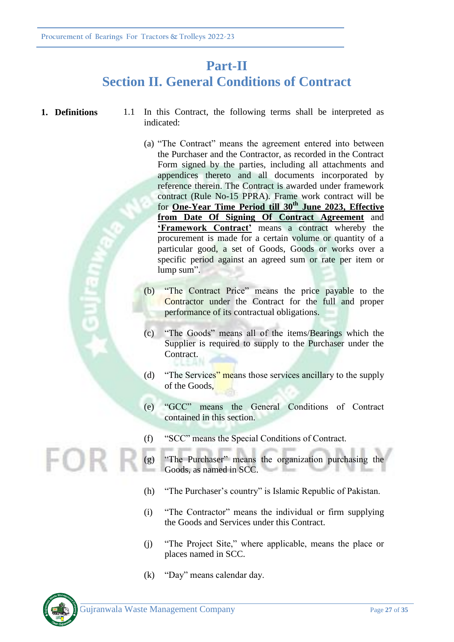# **Part-II Section II. General Conditions of Contract**

- 
- **1. Definitions** 1.1 In this Contract, the following terms shall be interpreted as indicated:
	- (a) "The Contract" means the agreement entered into between the Purchaser and the Contractor, as recorded in the Contract Form signed by the parties, including all attachments and appendices thereto and all documents incorporated by reference therein. The Contract is awarded under framework contract (Rule No-15 PPRA). Frame work contract will be for **One-Year Time Period till 30th June 2023, Effective from Date Of Signing Of Contract Agreement** and **'Framework Contract'** means a contract whereby the procurement is made for a certain volume or quantity of a particular good, a set of Goods, Goods or works over a specific period against an agreed sum or rate per item or lump sum".
	- (b) "The Contract Price" means the price payable to the Contractor under the Contract for the full and proper performance of its contractual obligations.
	- (c) "The Goods" means all of the items/Bearings which the Supplier is required to supply to the Purchaser under the Contract.
	- (d) "The Services" means those services ancillary to the supply of the Goods,
	- (e) "GCC" means the General Conditions of Contract contained in this section.
	- (f) "SCC" means the Special Conditions of Contract.
	- (g) "The Purchaser" means the organization purchasing the Goods, as named in SCC.
		- (h) "The Purchaser's country" is Islamic Republic of Pakistan.
		- (i) "The Contractor" means the individual or firm supplying the Goods and Services under this Contract.
		- (j) "The Project Site," where applicable, means the place or places named in SCC.
		- (k) "Day" means calendar day.

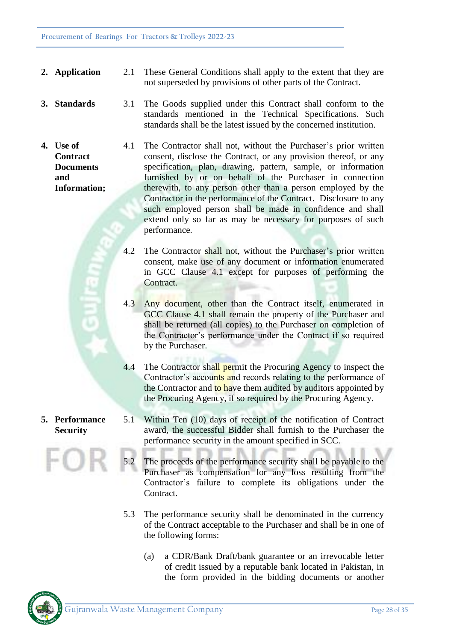- **2. Application** 2.1 These General Conditions shall apply to the extent that they are not superseded by provisions of other parts of the Contract.
- **3. Standards** 3.1 The Goods supplied under this Contract shall conform to the standards mentioned in the Technical Specifications. Such standards shall be the latest issued by the concerned institution.
	- 4.1 The Contractor shall not, without the Purchaser's prior written consent, disclose the Contract, or any provision thereof, or any specification, plan, drawing, pattern, sample, or information furnished by or on behalf of the Purchaser in connection therewith, to any person other than a person employed by the Contractor in the performance of the Contract. Disclosure to any such employed person shall be made in confidence and shall extend only so far as may be necessary for purposes of such performance.
		- 4.2 The Contractor shall not, without the Purchaser's prior written consent, make use of any document or information enumerated in GCC Clause 4.1 except for purposes of performing the Contract.
		- 4.3 Any document, other than the Contract itself, enumerated in GCC Clause 4.1 shall remain the property of the Purchaser and shall be returned (all copies) to the Purchaser on completion of the Contractor's performance under the Contract if so required by the Purchaser.
		- 4.4 The Contractor shall permit the Procuring Agency to inspect the Contractor's accounts and records relating to the performance of the Contractor and to have them audited by auditors appointed by the Procuring Agency, if so required by the Procuring Agency.

# **5. Performance Security**

**4. Use of** 

**and** 

**Contract Documents** 

**Information;** 

- 5.1 Within Ten (10) days of receipt of the notification of Contract award, the successful Bidder shall furnish to the Purchaser the performance security in the amount specified in SCC.
- 5.2 The proceeds of the performance security shall be payable to the Purchaser as compensation for any loss resulting from the Contractor's failure to complete its obligations under the Contract.
- 5.3 The performance security shall be denominated in the currency of the Contract acceptable to the Purchaser and shall be in one of the following forms:
	- (a) a CDR/Bank Draft/bank guarantee or an irrevocable letter of credit issued by a reputable bank located in Pakistan, in the form provided in the bidding documents or another

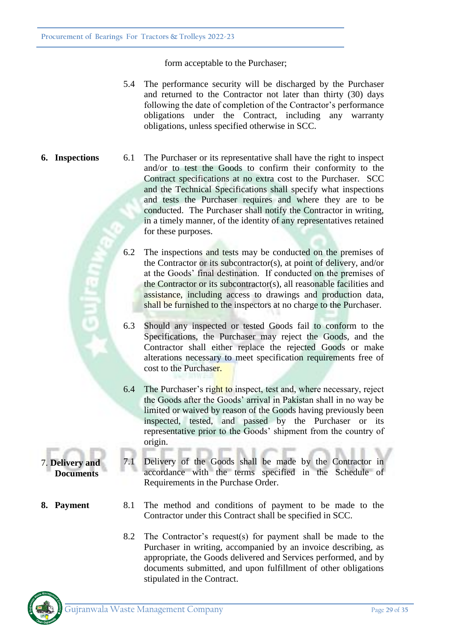form acceptable to the Purchaser;

- 5.4 The performance security will be discharged by the Purchaser and returned to the Contractor not later than thirty (30) days following the date of completion of the Contractor's performance obligations under the Contract, including any warranty obligations, unless specified otherwise in SCC.
- **6. Inspections** 6.1 The Purchaser or its representative shall have the right to inspect and/or to test the Goods to confirm their conformity to the Contract specifications at no extra cost to the Purchaser. SCC and the Technical Specifications shall specify what inspections and tests the Purchaser requires and where they are to be conducted. The Purchaser shall notify the Contractor in writing, in a timely manner, of the identity of any representatives retained for these purposes.
	- 6.2 The inspections and tests may be conducted on the premises of the Contractor or its subcontractor(s), at point of delivery, and/or at the Goods' final destination. If conducted on the premises of the Contractor or its subcontractor(s), all reasonable facilities and assistance, including access to drawings and production data, shall be furnished to the inspectors at no charge to the Purchaser.
	- 6.3 Should any inspected or tested Goods fail to conform to the Specifications, the Purchaser may reject the Goods, and the Contractor shall either replace the rejected Goods or make alterations necessary to meet specification requirements free of cost to the Purchaser.
	- 6.4 The Purchaser's right to inspect, test and, where necessary, reject the Goods after the Goods' arrival in Pakistan shall in no way be limited or waived by reason of the Goods having previously been inspected, tested, and passed by the Purchaser or its representative prior to the Goods' shipment from the country of origin.
	- 7.1 Delivery of the Goods shall be made by the Contractor in accordance with the terms specified in the Schedule of Requirements in the Purchase Order.
- **8. Payment** 8.1 The method and conditions of payment to be made to the Contractor under this Contract shall be specified in SCC.
	- 8.2 The Contractor's request(s) for payment shall be made to the Purchaser in writing, accompanied by an invoice describing, as appropriate, the Goods delivered and Services performed, and by documents submitted, and upon fulfillment of other obligations stipulated in the Contract.



7. **Delivery and Documents**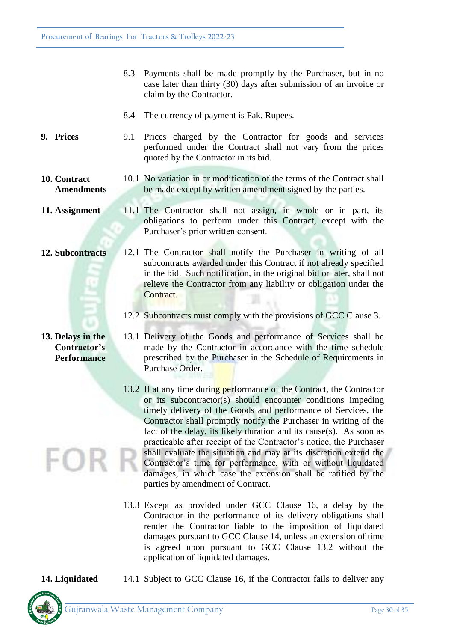- 8.3 Payments shall be made promptly by the Purchaser, but in no case later than thirty (30) days after submission of an invoice or claim by the Contractor.
- 8.4 The currency of payment is Pak. Rupees.
- **9. Prices** 9.1 Prices charged by the Contractor for goods and services performed under the Contract shall not vary from the prices quoted by the Contractor in its bid.
- **10. Contract Amendments** 10.1 No variation in or modification of the terms of the Contract shall be made except by written amendment signed by the parties.
- **11. Assignment** 11.1 The Contractor shall not assign, in whole or in part, its obligations to perform under this Contract, except with the Purchaser's prior written consent.
- **12. Subcontracts** 12.1 The Contractor shall notify the Purchaser in writing of all subcontracts awarded under this Contract if not already specified in the bid. Such notification, in the original bid or later, shall not relieve the Contractor from any liability or obligation under the Contract.
	- 12.2 Subcontracts must comply with the provisions of GCC Clause 3.
	- 13.1 Delivery of the Goods and performance of Services shall be made by the Contractor in accordance with the time schedule prescribed by the Purchaser in the Schedule of Requirements in Purchase Order.
		- 13.2 If at any time during performance of the Contract, the Contractor or its subcontractor(s) should encounter conditions impeding timely delivery of the Goods and performance of Services, the Contractor shall promptly notify the Purchaser in writing of the fact of the delay, its likely duration and its cause(s). As soon as practicable after receipt of the Contractor's notice, the Purchaser shall evaluate the situation and may at its discretion extend the Contractor's time for performance, with or without liquidated damages, in which case the extension shall be ratified by the parties by amendment of Contract.
		- 13.3 Except as provided under GCC Clause 16, a delay by the Contractor in the performance of its delivery obligations shall render the Contractor liable to the imposition of liquidated damages pursuant to GCC Clause 14, unless an extension of time is agreed upon pursuant to GCC Clause 13.2 without the application of liquidated damages.
- **14. Liquidated** 14.1 Subject to GCC Clause 16, if the Contractor fails to deliver any



**13. Delays in the Contractor's Performance**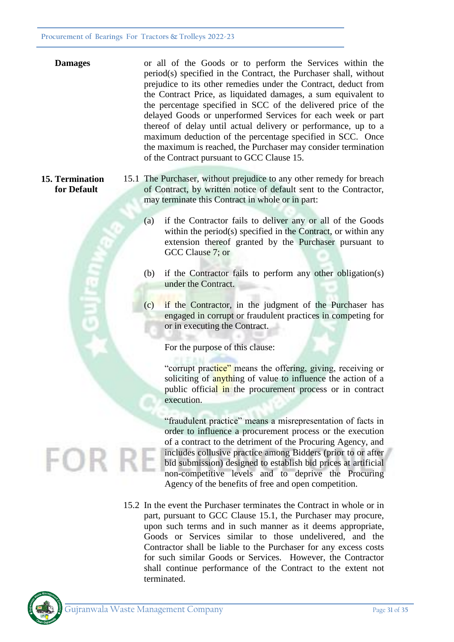| <b>Damages</b> | or all of the Goods or to perform the Services within the<br>period(s) specified in the Contract, the Purchaser shall, without<br>prejudice to its other remedies under the Contract, deduct from |
|----------------|---------------------------------------------------------------------------------------------------------------------------------------------------------------------------------------------------|
|                | the Contract Price, as liquidated damages, a sum equivalent to                                                                                                                                    |
|                | the percentage specified in SCC of the delivered price of the                                                                                                                                     |
|                | delayed Goods or unperformed Services for each week or part                                                                                                                                       |
|                | thereof of delay until actual delivery or performance, up to a                                                                                                                                    |
|                | maximum deduction of the percentage specified in SCC. Once                                                                                                                                        |
|                | the maximum is reached, the Purchaser may consider termination                                                                                                                                    |
|                | of the Contract pursuant to GCC Clause 15.                                                                                                                                                        |

- **15. Termination for Default** 15.1 The Purchaser, without prejudice to any other remedy for breach of Contract, by written notice of default sent to the Contractor, may terminate this Contract in whole or in part:
	- (a) if the Contractor fails to deliver any or all of the Goods within the period(s) specified in the Contract, or within any extension thereof granted by the Purchaser pursuant to GCC Clause 7; or
	- (b) if the Contractor fails to perform any other obligation(s) under the Contract.
	- (c) if the Contractor, in the judgment of the Purchaser has engaged in corrupt or fraudulent practices in competing for or in executing the Contract.

For the purpose of this clause:

"corrupt practice" means the offering, giving, receiving or soliciting of anything of value to influence the action of a public official in the procurement process or in contract execution.

"fraudulent practice" means a misrepresentation of facts in order to influence a procurement process or the execution of a contract to the detriment of the Procuring Agency, and includes collusive practice among Bidders (prior to or after bid submission) designed to establish bid prices at artificial non-competitive levels and to deprive the Procuring Agency of the benefits of free and open competition.

15.2 In the event the Purchaser terminates the Contract in whole or in part, pursuant to GCC Clause 15.1, the Purchaser may procure, upon such terms and in such manner as it deems appropriate, Goods or Services similar to those undelivered, and the Contractor shall be liable to the Purchaser for any excess costs for such similar Goods or Services. However, the Contractor shall continue performance of the Contract to the extent not terminated.

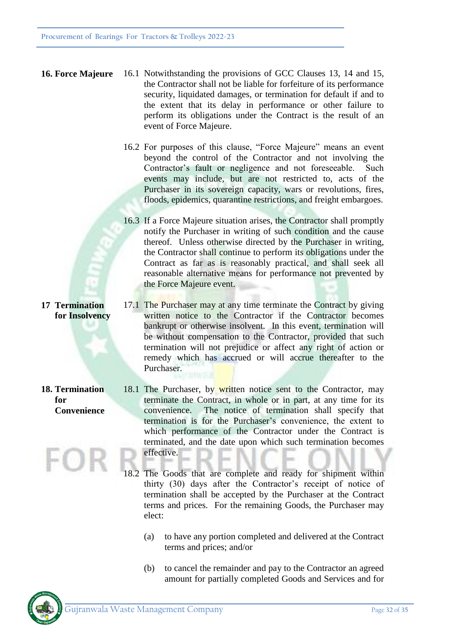- **16. Force Majeure** 16.1 Notwithstanding the provisions of GCC Clauses 13, 14 and 15, the Contractor shall not be liable for forfeiture of its performance security, liquidated damages, or termination for default if and to the extent that its delay in performance or other failure to perform its obligations under the Contract is the result of an event of Force Majeure.
	- 16.2 For purposes of this clause, "Force Majeure" means an event beyond the control of the Contractor and not involving the Contractor's fault or negligence and not foreseeable. Such events may include, but are not restricted to, acts of the Purchaser in its sovereign capacity, wars or revolutions, fires, floods, epidemics, quarantine restrictions, and freight embargoes.
	- 16.3 If a Force Majeure situation arises, the Contractor shall promptly notify the Purchaser in writing of such condition and the cause thereof. Unless otherwise directed by the Purchaser in writing, the Contractor shall continue to perform its obligations under the Contract as far as is reasonably practical, and shall seek all reasonable alternative means for performance not prevented by the Force Majeure event.
	- 17.1 The Purchaser may at any time terminate the Contract by giving written notice to the Contractor if the Contractor becomes bankrupt or otherwise insolvent. In this event, termination will be without compensation to the Contractor, provided that such termination will not prejudice or affect any right of action or remedy which has accrued or will accrue thereafter to the Purchaser.
		- 18.1 The Purchaser, by written notice sent to the Contractor, may terminate the Contract, in whole or in part, at any time for its convenience. The notice of termination shall specify that termination is for the Purchaser's convenience, the extent to which performance of the Contractor under the Contract is terminated, and the date upon which such termination becomes effective.
			- 18.2 The Goods that are complete and ready for shipment within thirty (30) days after the Contractor's receipt of notice of termination shall be accepted by the Purchaser at the Contract terms and prices. For the remaining Goods, the Purchaser may elect:
				- (a) to have any portion completed and delivered at the Contract terms and prices; and/or
				- (b) to cancel the remainder and pay to the Contractor an agreed amount for partially completed Goods and Services and for



**18. Termination for Convenience**

**17 Termination for Insolvency**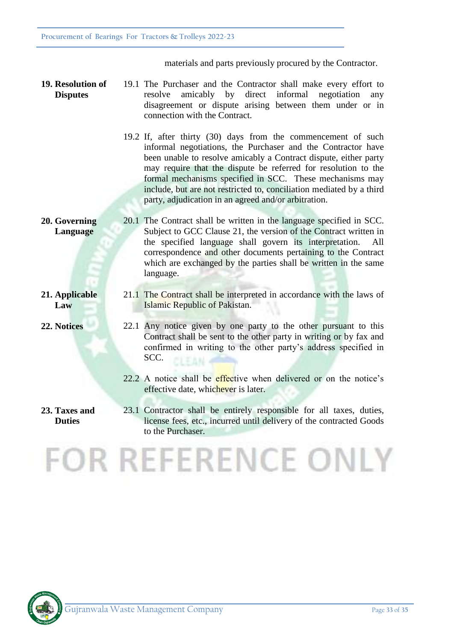materials and parts previously procured by the Contractor.

- **19. Resolution of Disputes** 19.1 The Purchaser and the Contractor shall make every effort to resolve amicably by direct informal negotiation any disagreement or dispute arising between them under or in connection with the Contract.
	- 19.2 If, after thirty (30) days from the commencement of such informal negotiations, the Purchaser and the Contractor have been unable to resolve amicably a Contract dispute, either party may require that the dispute be referred for resolution to the formal mechanisms specified in SCC. These mechanisms may include, but are not restricted to, conciliation mediated by a third party, adjudication in an agreed and/or arbitration.

#### **20. Governing Language** 20.1 The Contract shall be written in the language specified in SCC. Subject to GCC Clause 21, the version of the Contract written in the specified language shall govern its interpretation. correspondence and other documents pertaining to the Contract which are exchanged by the parties shall be written in the same language.

**21. Applicable Law**

**Duties**

- Islamic Republic of Pakistan.
- **22. Notices** 22.1 Any notice given by one party to the other pursuant to this Contract shall be sent to the other party in writing or by fax and confirmed in writing to the other party's address specified in SCC.

21.1 The Contract shall be interpreted in accordance with the laws of

- 22.2 A notice shall be effective when delivered or on the notice's effective date, whichever is later.
- **23. Taxes and**  23.1 Contractor shall be entirely responsible for all taxes, duties, license fees, etc., incurred until delivery of the contracted Goods to the Purchaser.

# **FOR REFERENCE ONLY**

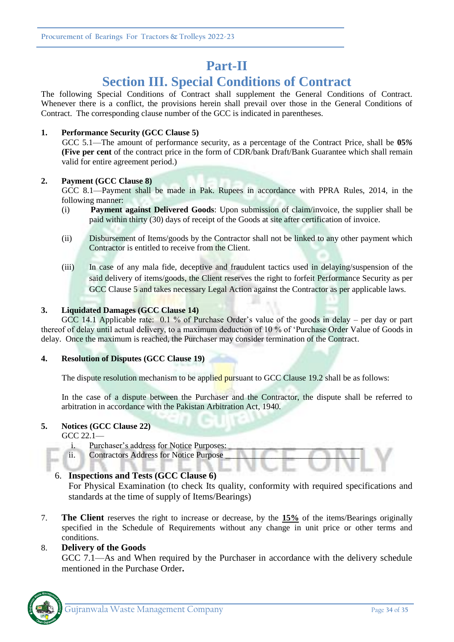# **Part-II**

# **Section III. Special Conditions of Contract**

The following Special Conditions of Contract shall supplement the General Conditions of Contract. Whenever there is a conflict, the provisions herein shall prevail over those in the General Conditions of Contract. The corresponding clause number of the GCC is indicated in parentheses.

### **1. Performance Security (GCC Clause 5)**

GCC 5.1—The amount of performance security, as a percentage of the Contract Price, shall be **05***%*  **(Five per cent** of the contract price in the form of CDR/bank Draft/Bank Guarantee which shall remain valid for entire agreement period.)

### **2. Payment (GCC Clause 8)**

GCC 8.1—Payment shall be made in Pak. Rupees in accordance with PPRA Rules, 2014, in the following manner:

- (i) **Payment against Delivered Goods**: Upon submission of claim/invoice, the supplier shall be paid within thirty (30) days of receipt of the Goods at site after certification of invoice.
- (ii) Disbursement of Items/goods by the Contractor shall not be linked to any other payment which Contractor is entitled to receive from the Client.
- (iii) In case of any mala fide, deceptive and fraudulent tactics used in delaying/suspension of the said delivery of items/goods, the Client reserves the right to forfeit Performance Security as per GCC Clause 5 and takes necessary Legal Action against the Contractor as per applicable laws.

#### **3. Liquidated Damages (GCC Clause 14)**

GCC 14.1 Applicable rate: 0.1 % of Purchase Order's value of the goods in delay – per day or part thereof of delay until actual delivery, to a maximum deduction of 10 % of 'Purchase Order Value of Goods in delay. Once the maximum is reached, the Purchaser may consider termination of the Contract.

### **4. Resolution of Disputes (GCC Clause 19)**

The dispute resolution mechanism to be applied pursuant to GCC Clause 19.2 shall be as follows:

In the case of a dispute between the Purchaser and the Contractor, the dispute shall be referred to arbitration in accordance with the Pakistan Arbitration Act, 1940.

#### **5. Notices (GCC Clause 22)**

GCC 22.1—

- i. Purchaser's address for Notice Purposes:
- ii. Contractors Address for Notice Purpose

### 6. **Inspections and Tests (GCC Clause 6)**

For Physical Examination (to check Its quality, conformity with required specifications and standards at the time of supply of Items/Bearings)

7. **The Client** reserves the right to increase or decrease, by the **15%** of the items/Bearings originally specified in the Schedule of Requirements without any change in unit price or other terms and conditions.

### 8. **Delivery of the Goods**

GCC 7.1—As and When required by the Purchaser in accordance with the delivery schedule mentioned in the Purchase Order**.**